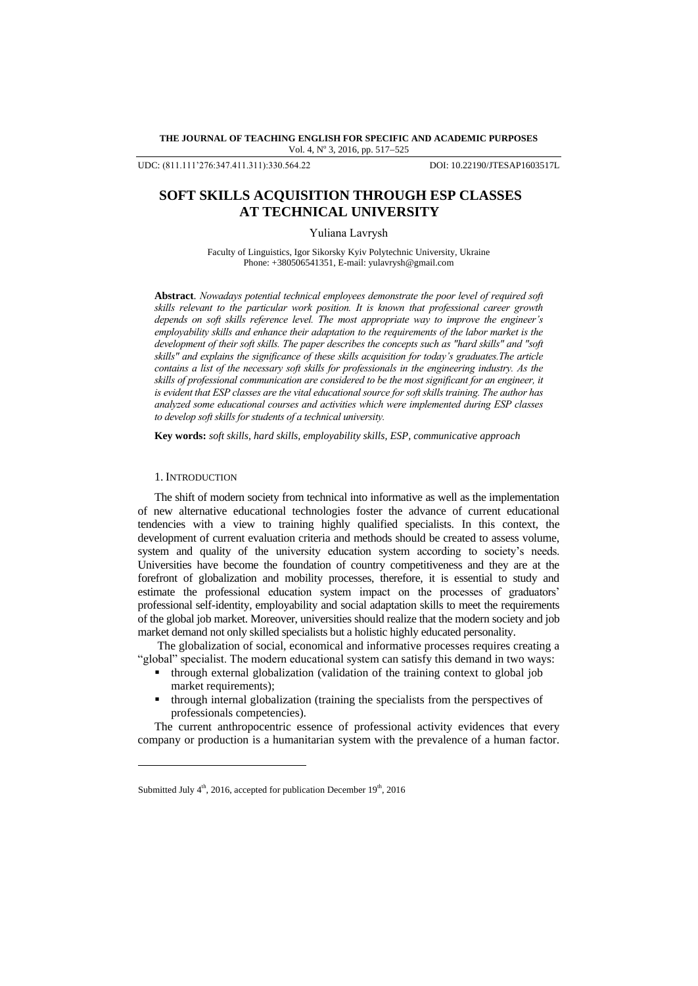**THE JOURNAL OF TEACHING ENGLISH FOR SPECIFIC AND ACADEMIC PURPOSES** Vol. 4, Nº 3, 2016, pp. 517-525

UDC: (811.111'276:347.411.311):330.564.22 DOI: 10.22190/JTESAP1603517L

# **SOFT SKILLS ACQUISITION THROUGH ESP CLASSES AT TECHNICAL UNIVERSITY**

Yuliana Lavrysh

Faculty of Linguistics, Igor Sikorsky Kyiv Polytechnic University, Ukraine Phone: +380506541351, E-mail: yulavrysh@gmail.com

**Abstract**. *Nowadays potential technical employees demonstrate the poor level of required soft skills relevant to the particular work position. It is known that professional career growth depends on soft skills reference level. The most appropriate way to improve the engineer's employability skills and enhance their adaptation to the requirements of the labor market is the development of their soft skills. The paper describes the concepts such as "hard skills" and "soft skills" and explains the significance of these skills acquisition for today's graduates.The article contains a list of the necessary soft skills for professionals in the engineering industry. As the skills of professional communication are considered to be the most significant for an engineer, it is evident that ESP classes are the vital educational source for soft skills training. The author has analyzed some educational courses and activities which were implemented during ESP classes to develop soft skills for students of a technical university.*

**Key words:** *soft skills, hard skills, employability skills, ESP, communicative approach*

### 1. INTRODUCTION

l

The shift of modern society from technical into informative as well as the implementation of new alternative educational technologies foster the advance of current educational tendencies with a view to training highly qualified specialists. In this context, the development of current evaluation criteria and methods should be created to assess volume, system and quality of the university education system according to society's needs. Universities have become the foundation of country competitiveness and they are at the forefront of globalization and mobility processes, therefore, it is essential to study and estimate the professional education system impact on the processes of graduators" professional self-identity, employability and social adaptation skills to meet the requirements of the global job market. Moreover, universities should realize that the modern society and job market demand not only skilled specialists but a holistic highly educated personality.

The globalization of social, economical and informative processes requires creating a "global" specialist. The modern educational system can satisfy this demand in two ways:

- through external globalization (validation of the training context to global job market requirements);
- through internal globalization (training the specialists from the perspectives of professionals competencies).

The current anthropocentric essence of professional activity evidences that every company or production is a humanitarian system with the prevalence of a human factor.

Submitted July  $4<sup>th</sup>$ , 2016, accepted for publication December  $19<sup>th</sup>$ , 2016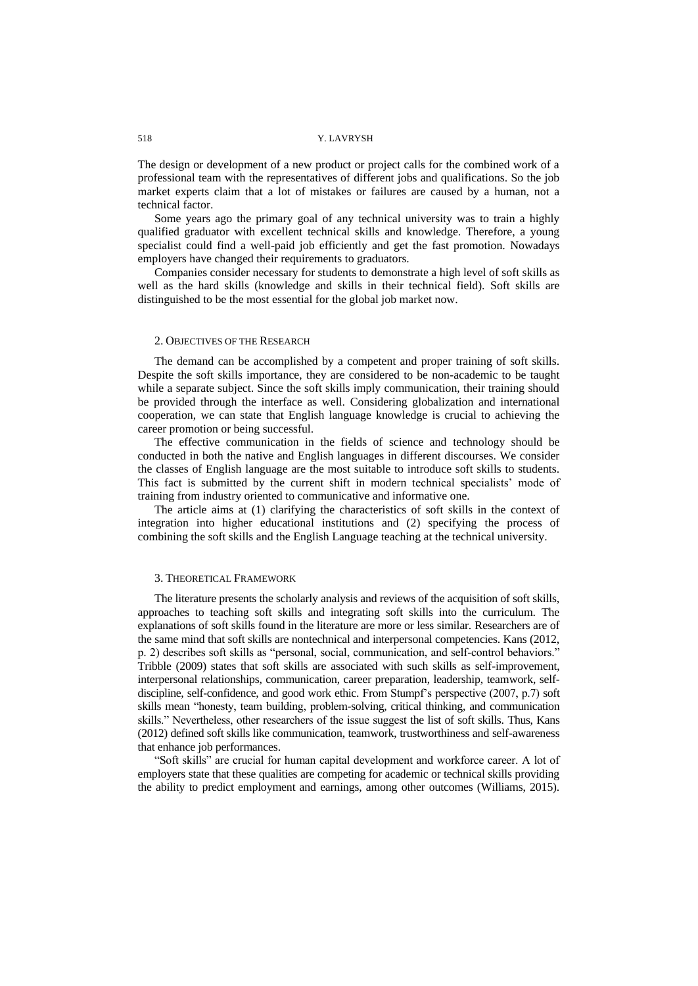### 518 Y. LAVRYSH

The design or development of a new product or project calls for the combined work of a professional team with the representatives of different jobs and qualifications. So the job market experts claim that a lot of mistakes or failures are caused by a human, not a technical factor.

Some years ago the primary goal of any technical university was to train a highly qualified graduator with excellent technical skills and knowledge. Therefore, a young specialist could find a well-paid job efficiently and get the fast promotion. Nowadays employers have changed their requirements to graduators.

Companies consider necessary for students to demonstrate a high level of soft skills as well as the hard skills (knowledge and skills in their technical field). Soft skills are distinguished to be the most essential for the global job market now.

# 2. OBJECTIVES OF THE RESEARCH

The demand can be accomplished by a competent and proper training of soft skills. Despite the soft skills importance, they are considered to be non-academic to be taught while a separate subject. Since the soft skills imply communication, their training should be provided through the interface as well. Considering globalization and international cooperation, we can state that English language knowledge is crucial to achieving the career promotion or being successful.

The effective communication in the fields of science and technology should be conducted in both the native and English languages in different discourses. We consider the classes of English language are the most suitable to introduce soft skills to students. This fact is submitted by the current shift in modern technical specialists" mode of training from industry oriented to communicative and informative one.

The article aims at (1) clarifying the characteristics of soft skills in the context of integration into higher educational institutions and (2) specifying the process of combining the soft skills and the English Language teaching at the technical university.

#### 3. THEORETICAL FRAMEWORK

The literature presents the scholarly analysis and reviews of the acquisition of soft skills, approaches to teaching soft skills and integrating soft skills into the curriculum. The explanations of soft skills found in the literature are more or less similar. Researchers are of the same mind that soft skills are nontechnical and interpersonal competencies. Kans (2012, р. 2) describes soft skills as "personal, social, communication, and self-control behaviors." Tribble (2009) states that soft skills are associated with such skills as self-improvement, interpersonal relationships, communication, career preparation, leadership, teamwork, selfdiscipline, self-confidence, and good work ethic. From Stumpf"s perspective (2007, p.7) soft skills mean "honesty, team building, problem-solving, critical thinking, and communication skills." Nevertheless, other researchers of the issue suggest the list of soft skills. Thus, Kans (2012) defined soft skills like communication, teamwork, trustworthiness and self-awareness that enhance job performances.

"Soft skills" are crucial for human capital development and workforce career. A lot of employers state that these qualities are competing for academic or technical skills providing the ability to predict employment and earnings, among other outcomes (Williams, 2015).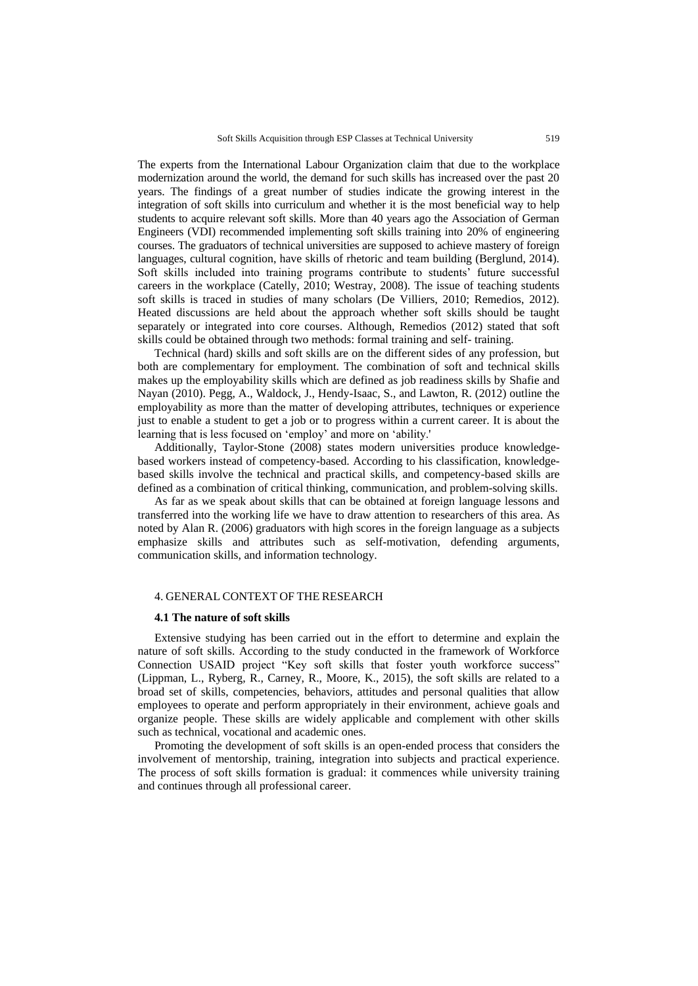The experts from the International Labour Organization claim that due to the workplace modernization around the world, the demand for such skills has increased over the past 20 years. The findings of a great number of studies indicate the growing interest in the integration of soft skills into curriculum and whether it is the most beneficial way to help students to acquire relevant soft skills. More than 40 years ago the Association of German Engineers (VDI) recommended implementing soft skills training into 20% of engineering courses. The graduators of technical universities are supposed to achieve mastery of foreign languages, cultural cognition, have skills of rhetoric and team building (Berglund, 2014). Soft skills included into training programs contribute to students" future successful careers in the workplace (Catelly, 2010; Westray, 2008). The issue of teaching students soft skills is traced in studies of many scholars (De Villiers, 2010; Remedios, 2012). Heated discussions are held about the approach whether soft skills should be taught separately or integrated into core courses. Although, Remedios (2012) stated that soft skills could be obtained through two methods: formal training and self- training.

Technical (hard) skills and soft skills are on the different sides of any profession, but both are complementary for employment. The combination of soft and technical skills makes up the employability skills which are defined as job readiness skills by Shafie and Nayan (2010). Pegg, A., Waldock, J., Hendy-Isaac, S., and Lawton, R. (2012) outline the employability as more than the matter of developing attributes, techniques or experience just to enable a student to get a job or to progress within a current career. It is about the learning that is less focused on "employ" and more on "ability.'

Additionally, Taylor-Stone (2008) states modern universities produce knowledgebased workers instead of competency-based. According to his classification, knowledgebased skills involve the technical and practical skills, and competency-based skills are defined as a combination of critical thinking, communication, and problem-solving skills.

As far as we speak about skills that can be obtained at foreign language lessons and transferred into the working life we have to draw attention to researchers of this area. As noted by Alan R. (2006) graduators with high scores in the foreign language as a subjects emphasize skills and attributes such as self-motivation, defending arguments, communication skills, and information technology.

# 4. GENERAL CONTEXT OF THE RESEARCH

#### **4.1 The nature of soft skills**

Extensive studying has been carried out in the effort to determine and explain the nature of soft skills. According to the study conducted in the framework of Workforce Connection USAID project "Key soft skills that foster youth workforce success" (Lippman, L., Ryberg, R., Carney, R., Moore, K., 2015), the soft skills are related to a broad set of skills, competencies, behaviors, attitudes and personal qualities that allow employees to operate and perform appropriately in their environment, achieve goals and organize people. These skills are widely applicable and complement with other skills such as technical, vocational and academic ones.

Promoting the development of soft skills is an open-ended process that considers the involvement of mentorship, training, integration into subjects and practical experience. The process of soft skills formation is gradual: it commences while university training and continues through all professional career.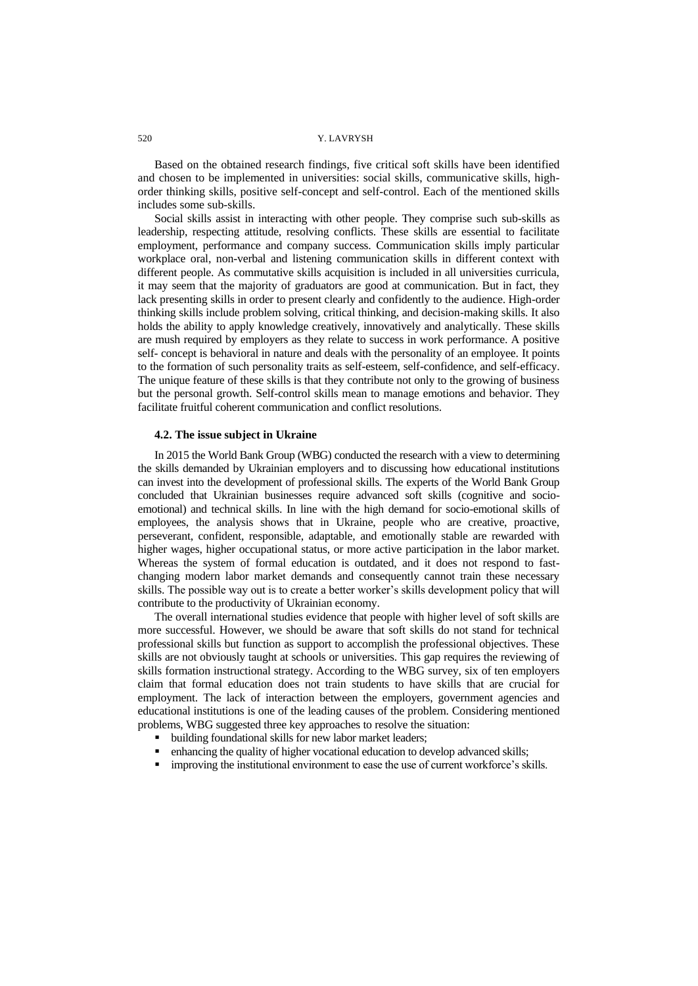## 520 Y. LAVRYSH

Based on the obtained research findings, five critical soft skills have been identified and chosen to be implemented in universities: social skills, communicative skills, highorder thinking skills, positive self-concept and self-control. Each of the mentioned skills includes some sub-skills.

Social skills assist in interacting with other people. They comprise such sub-skills as leadership, respecting attitude, resolving conflicts. These skills are essential to facilitate employment, performance and company success. Communication skills imply particular workplace oral, non-verbal and listening communication skills in different context with different people. As commutative skills acquisition is included in all universities curricula, it may seem that the majority of graduators are good at communication. But in fact, they lack presenting skills in order to present clearly and confidently to the audience. High-order thinking skills include problem solving, critical thinking, and decision-making skills. It also holds the ability to apply knowledge creatively, innovatively and analytically. These skills are mush required by employers as they relate to success in work performance. A positive self- concept is behavioral in nature and deals with the personality of an employee. It points to the formation of such personality traits as self-esteem, self-confidence, and self-efficacy. The unique feature of these skills is that they contribute not only to the growing of business but the personal growth. Self-control skills mean to manage emotions and behavior. They facilitate fruitful coherent communication and conflict resolutions.

# **4.2. The issue subject in Ukraine**

In 2015 the World Bank Group (WBG) conducted the research with a view to determining the skills demanded by Ukrainian employers and to discussing how educational institutions can invest into the development of professional skills. The experts of the World Bank Group concluded that Ukrainian businesses require advanced soft skills (cognitive and socioemotional) and technical skills. In line with the high demand for socio-emotional skills of employees, the analysis shows that in Ukraine, people who are creative, proactive, perseverant, confident, responsible, adaptable, and emotionally stable are rewarded with higher wages, higher occupational status, or more active participation in the labor market. Whereas the system of formal education is outdated, and it does not respond to fastchanging modern labor market demands and consequently cannot train these necessary skills. The possible way out is to create a better worker's skills development policy that will contribute to the productivity of Ukrainian economy.

The overall international studies evidence that people with higher level of soft skills are more successful. However, we should be aware that soft skills do not stand for technical professional skills but function as support to accomplish the professional objectives. These skills are not obviously taught at schools or universities. This gap requires the reviewing of skills formation instructional strategy. According to the WBG survey, six of ten employers claim that formal education does not train students to have skills that are crucial for employment. The lack of interaction between the employers, government agencies and educational institutions is one of the leading causes of the problem. Considering mentioned problems, WBG suggested three key approaches to resolve the situation:

- building foundational skills for new labor market leaders;
- enhancing the quality of higher vocational education to develop advanced skills;
- **improving the institutional environment to ease the use of current workforce's skills.**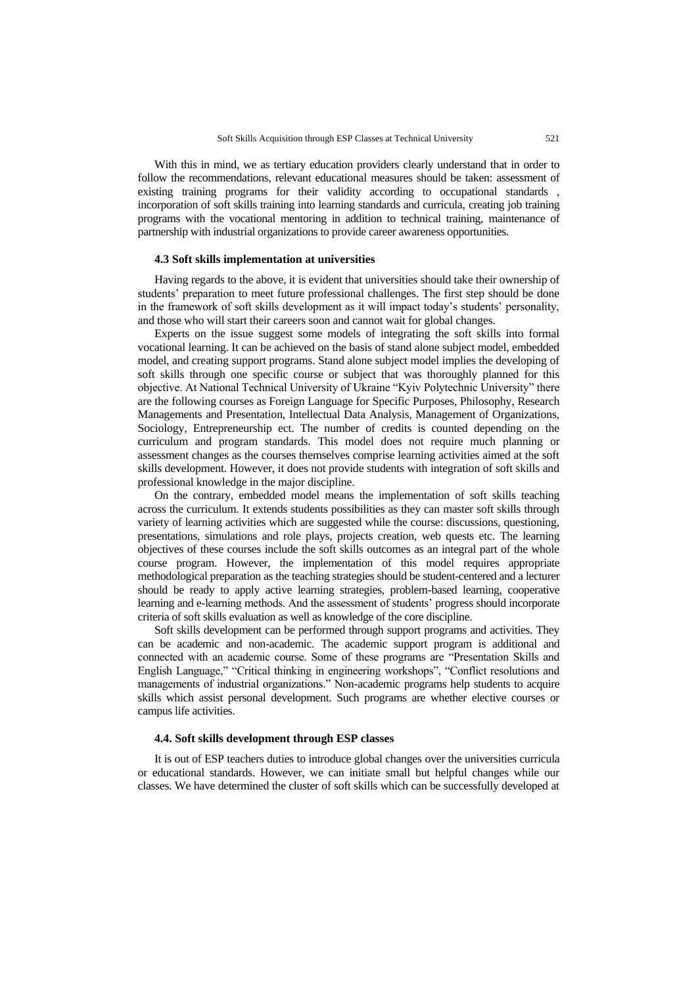With this in mind, we as tertiary education providers clearly understand that in order to follow the recommendations, relevant educational measures should be taken: assessment of existing training programs for their validity according to occupational standards , incorporation of soft skills training into learning standards and curricula, creating job training programs with the vocational mentoring in addition to technical training, maintenance of partnership with industrial organizations to provide career awareness opportunities.

#### **4.3 Soft skills implementation at universities**

Having regards to the above, it is evident that universities should take their ownership of students" preparation to meet future professional challenges. The first step should be done in the framework of soft skills development as it will impact today's students' personality, and those who will start their careers soon and cannot wait for global changes.

Experts on the issue suggest some models of integrating the soft skills into formal vocational learning. It can be achieved on the basis of stand alone subject model, embedded model, and creating support programs. Stand alone subject model implies the developing of soft skills through one specific course or subject that was thoroughly planned for this objective. At National Technical University of Ukraine "Kyiv Polytechnic University" there are the following courses as Foreign Language for Specific Purposes, Philosophy, Research Managements and Presentation, Intellectual Data Analysis, Management of Organizations, Sociology, Entrepreneurship ect. The number of credits is counted depending on the curriculum and program standards. This model does not require much planning or assessment changes as the courses themselves comprise learning activities aimed at the soft skills development. However, it does not provide students with integration of soft skills and professional knowledge in the major discipline.

On the contrary, embedded model means the implementation of soft skills teaching across the curriculum. It extends students possibilities as they can master soft skills through variety of learning activities which are suggested while the course: discussions, questioning, presentations, simulations and role plays, projects creation, web quests etc. The learning objectives of these courses include the soft skills outcomes as an integral part of the whole course program. However, the implementation of this model requires appropriate methodological preparation as the teaching strategies should be student-centered and a lecturer should be ready to apply active learning strategies, problem-based learning, cooperative learning and e-learning methods. And the assessment of students" progress should incorporate criteria of soft skills evaluation as well as knowledge of the core discipline.

Soft skills development can be performed through support programs and activities. They can be academic and non-academic. The academic support program is additional and connected with an academic course. Some of these programs are "Presentation Skills and English Language," "Critical thinking in engineering workshops", "Conflict resolutions and managements of industrial organizations." Non-academic programs help students to acquire skills which assist personal development. Such programs are whether elective courses or campus life activities.

#### **4.4. Soft skills development through ESP classes**

It is out of ESP teachers duties to introduce global changes over the universities curricula or educational standards. However, we can initiate small but helpful changes while our classes. We have determined the cluster of soft skills which can be successfully developed at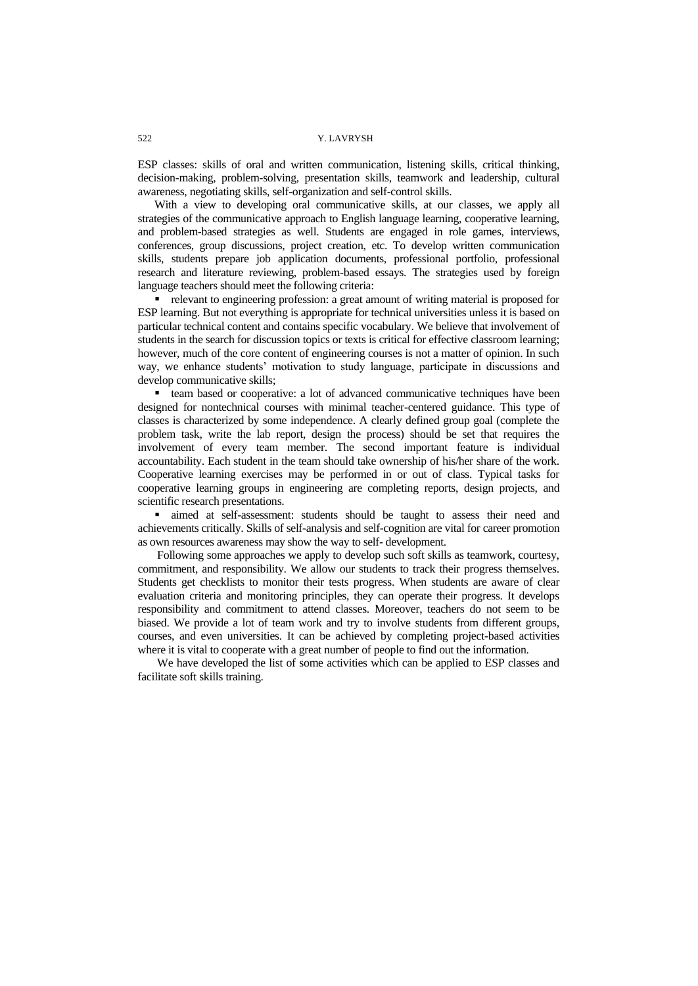ESP classes: skills of oral and written communication, listening skills, critical thinking, decision-making, problem-solving, presentation skills, teamwork and leadership, cultural awareness, negotiating skills, self-organization and self-control skills.

With a view to developing oral communicative skills, at our classes, we apply all strategies of the communicative approach to English language learning, cooperative learning, and problem-based strategies as well. Students are engaged in role games, interviews, conferences, group discussions, project creation, etc. To develop written communication skills, students prepare job application documents, professional portfolio, professional research and literature reviewing, problem-based essays. The strategies used by foreign language teachers should meet the following criteria:

 relevant to engineering profession: a great amount of writing material is proposed for ESP learning. But not everything is appropriate for technical universities unless it is based on particular technical content and contains specific vocabulary. We believe that involvement of students in the search for discussion topics or texts is critical for effective classroom learning; however, much of the core content of engineering courses is not a matter of opinion. In such way, we enhance students' motivation to study language, participate in discussions and develop communicative skills;

 team based or cooperative: a lot of advanced communicative techniques have been designed for nontechnical courses with minimal teacher-centered guidance. This type of classes is characterized by some independence. A clearly defined group goal (complete the problem task, write the lab report, design the process) should be set that requires the involvement of every team member. The second important feature is individual accountability. Each student in the team should take ownership of his/her share of the work. Cooperative learning exercises may be performed in or out of class. Typical tasks for cooperative learning groups in engineering are completing reports, design projects, and scientific research presentations.

 aimed at self-assessment: students should be taught to assess their need and achievements critically. Skills of self-analysis and self-cognition are vital for career promotion as own resources awareness may show the way to self- development.

Following some approaches we apply to develop such soft skills as teamwork, courtesy, commitment, and responsibility. We allow our students to track their progress themselves. Students get checklists to monitor their tests progress. When students are aware of clear evaluation criteria and monitoring principles, they can operate their progress. It develops responsibility and commitment to attend classes. Moreover, teachers do not seem to be biased. We provide a lot of team work and try to involve students from different groups, courses, and even universities. It can be achieved by completing project-based activities where it is vital to cooperate with a great number of people to find out the information.

We have developed the list of some activities which can be applied to ESP classes and facilitate soft skills training.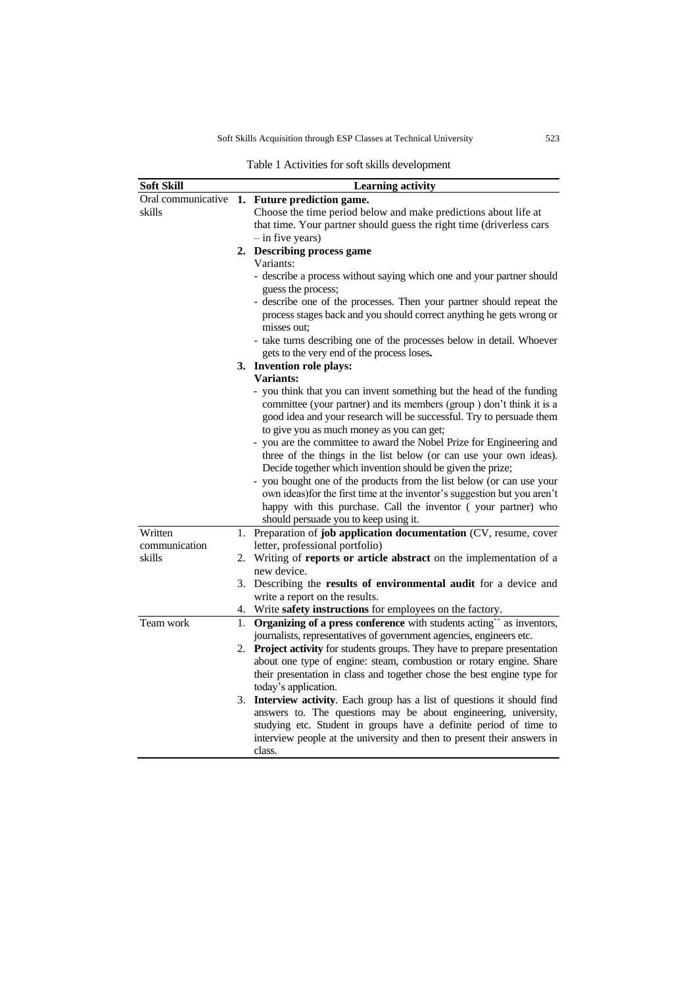Soft Skills Acquisition through ESP Classes at Technical University 523

Table 1 Activities for soft skills development

| <b>Soft Skill</b>  |    | <b>Learning activity</b>                                                                                                                                                                                                                                            |
|--------------------|----|---------------------------------------------------------------------------------------------------------------------------------------------------------------------------------------------------------------------------------------------------------------------|
| Oral communicative |    | 1. Future prediction game.                                                                                                                                                                                                                                          |
| skills             |    | Choose the time period below and make predictions about life at                                                                                                                                                                                                     |
|                    |    | that time. Your partner should guess the right time (driverless cars                                                                                                                                                                                                |
|                    |    | $-$ in five years)                                                                                                                                                                                                                                                  |
|                    |    | 2. Describing process game                                                                                                                                                                                                                                          |
|                    |    | Variants:                                                                                                                                                                                                                                                           |
|                    |    | - describe a process without saying which one and your partner should<br>guess the process;                                                                                                                                                                         |
|                    |    | - describe one of the processes. Then your partner should repeat the                                                                                                                                                                                                |
|                    |    | process stages back and you should correct anything he gets wrong or<br>misses out:                                                                                                                                                                                 |
|                    |    | - take turns describing one of the processes below in detail. Whoever<br>gets to the very end of the process loses.                                                                                                                                                 |
|                    |    | 3. Invention role plays:                                                                                                                                                                                                                                            |
|                    |    | <b>Variants:</b>                                                                                                                                                                                                                                                    |
|                    |    | - you think that you can invent something but the head of the funding<br>committee (your partner) and its members (group ) don't think it is a<br>good idea and your research will be successful. Try to persuade them<br>to give you as much money as you can get; |
|                    |    | - you are the committee to award the Nobel Prize for Engineering and<br>three of the things in the list below (or can use your own ideas).<br>Decide together which invention should be given the prize;                                                            |
|                    |    | - you bought one of the products from the list below (or can use your<br>own ideas) for the first time at the inventor's suggestion but you aren't<br>happy with this purchase. Call the inventor (your partner) who<br>should persuade you to keep using it.       |
| Written            |    | 1. Preparation of job application documentation (CV, resume, cover                                                                                                                                                                                                  |
| communication      |    | letter, professional portfolio)                                                                                                                                                                                                                                     |
| skills             |    | 2. Writing of reports or article abstract on the implementation of a<br>new device.                                                                                                                                                                                 |
|                    |    | 3. Describing the results of environmental audit for a device and                                                                                                                                                                                                   |
|                    |    | write a report on the results.                                                                                                                                                                                                                                      |
|                    |    | 4. Write safety instructions for employees on the factory.                                                                                                                                                                                                          |
| Team work          | 1. | Organizing of a press conference with students acting" as inventors,                                                                                                                                                                                                |
|                    |    | journalists, representatives of government agencies, engineers etc.                                                                                                                                                                                                 |
|                    | 2. | Project activity for students groups. They have to prepare presentation                                                                                                                                                                                             |
|                    |    | about one type of engine: steam, combustion or rotary engine. Share<br>their presentation in class and together chose the best engine type for<br>today's application.                                                                                              |
|                    |    | 3. Interview activity. Each group has a list of questions it should find                                                                                                                                                                                            |
|                    |    | answers to. The questions may be about engineering, university,<br>studying etc. Student in groups have a definite period of time to<br>interview people at the university and then to present their answers in<br>class.                                           |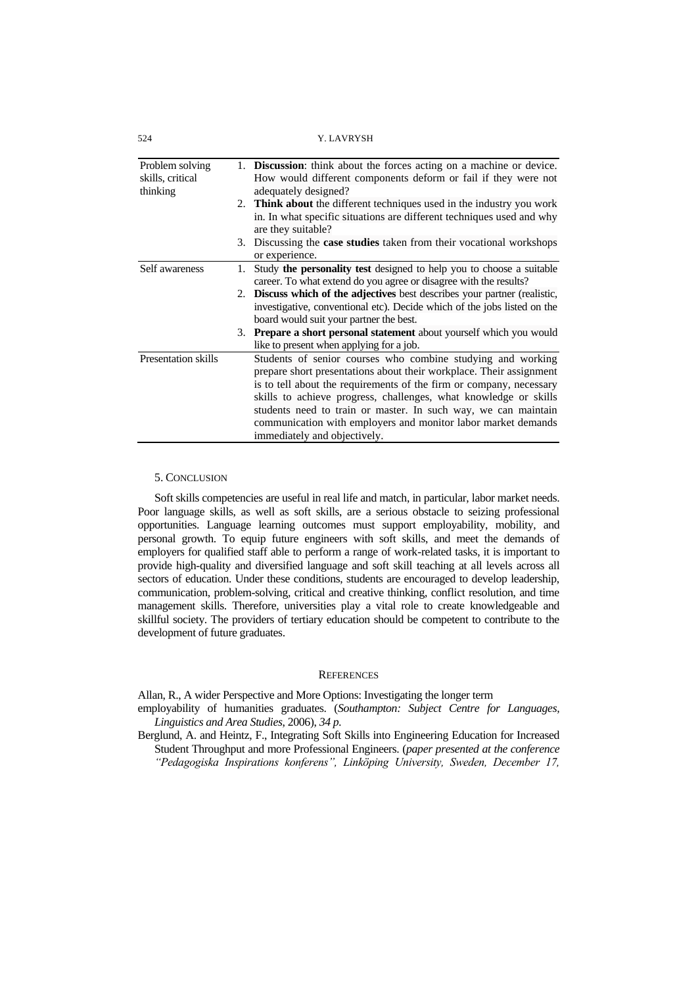| +∠ر                                             |    | 1. LA V N 1 9 H                                                                                                                                                                                                                                                                                                                                                                                                                                  |
|-------------------------------------------------|----|--------------------------------------------------------------------------------------------------------------------------------------------------------------------------------------------------------------------------------------------------------------------------------------------------------------------------------------------------------------------------------------------------------------------------------------------------|
| Problem solving<br>skills, critical<br>thinking | 1. | <b>Discussion:</b> think about the forces acting on a machine or device.<br>How would different components deform or fail if they were not<br>adequately designed?                                                                                                                                                                                                                                                                               |
|                                                 |    | 2. <b>Think about</b> the different techniques used in the industry you work<br>in. In what specific situations are different techniques used and why<br>are they suitable?                                                                                                                                                                                                                                                                      |
|                                                 |    | 3. Discussing the <b>case studies</b> taken from their vocational workshops<br>or experience.                                                                                                                                                                                                                                                                                                                                                    |
| Self awareness                                  | 1. | Study the personality test designed to help you to choose a suitable<br>career. To what extend do you agree or disagree with the results?                                                                                                                                                                                                                                                                                                        |
|                                                 |    | 2. Discuss which of the adjectives best describes your partner (realistic,<br>investigative, conventional etc). Decide which of the jobs listed on the<br>board would suit your partner the best.                                                                                                                                                                                                                                                |
|                                                 | 3. | Prepare a short personal statement about yourself which you would<br>like to present when applying for a job.                                                                                                                                                                                                                                                                                                                                    |
| <b>Presentation skills</b>                      |    | Students of senior courses who combine studying and working<br>prepare short presentations about their workplace. Their assignment<br>is to tell about the requirements of the firm or company, necessary<br>skills to achieve progress, challenges, what knowledge or skills<br>students need to train or master. In such way, we can maintain<br>communication with employers and monitor labor market demands<br>immediately and objectively. |

#### 5. CONCLUSION

Soft skills competencies are useful in real life and match, in particular, labor market needs. Poor language skills, as well as soft skills, are a serious obstacle to seizing professional opportunities. Language learning outcomes must support employability, mobility, and personal growth. To equip future engineers with soft skills, and meet the demands of employers for qualified staff able to perform a range of work-related tasks, it is important to provide high-quality and diversified language and soft skill teaching at all levels across all sectors of education. Under these conditions, students are encouraged to develop leadership, communication, problem-solving, critical and creative thinking, conflict resolution, and time management skills. Therefore, universities play a vital role to create knowledgeable and skillful society. The providers of tertiary education should be competent to contribute to the development of future graduates.

# **REFERENCES**

Allan, R., A wider Perspective and More Options: Investigating the longer term

employability of humanities graduates. (*Southampton: Subject Centre for Languages, Linguistics and Area Studies*, 2006), *34 p.*

Berglund, A. and Heintz, F., Integrating Soft Skills into Engineering Education for Increased Student Throughput and more Professional Engineers. (*paper presented at the conference "Pedagogiska Inspirations konferens", Linköping University, Sweden, December 17,*